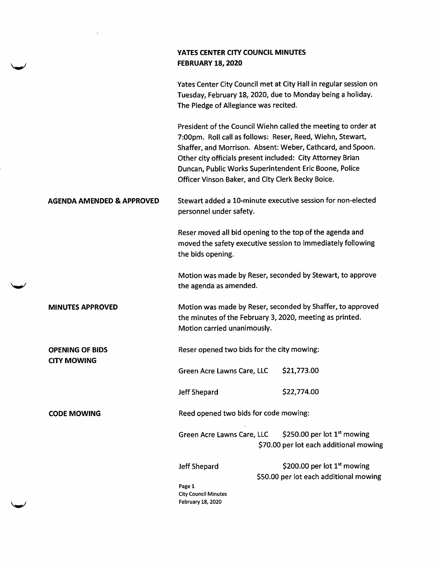|                                              | YATES CENTER CITY COUNCIL MINUTES<br><b>FEBRUARY 18, 2020</b>                                                                                                             |                                                                                                                                                                                           |
|----------------------------------------------|---------------------------------------------------------------------------------------------------------------------------------------------------------------------------|-------------------------------------------------------------------------------------------------------------------------------------------------------------------------------------------|
|                                              | The Pledge of Allegiance was recited.                                                                                                                                     | Yates Center City Council met at City Hall in regular session on<br>Tuesday, February 18, 2020, due to Monday being a holiday.                                                            |
|                                              | Other city officials present included: City Attorney Brian<br>Duncan, Public Works Superintendent Eric Boone, Police<br>Officer Vinson Baker, and City Clerk Becky Boice. | President of the Council Wiehn called the meeting to order at<br>7:00pm. Roll call as follows: Reser, Reed, Wiehn, Stewart,<br>Shaffer, and Morrison. Absent: Weber, Cathcard, and Spoon. |
| <b>AGENDA AMENDED &amp; APPROVED</b>         | personnel under safety.                                                                                                                                                   | Stewart added a 10-minute executive session for non-elected                                                                                                                               |
|                                              | Reser moved all bid opening to the top of the agenda and<br>the bids opening.                                                                                             | moved the safety executive session to immediately following                                                                                                                               |
|                                              | the agenda as amended.                                                                                                                                                    | Motion was made by Reser, seconded by Stewart, to approve                                                                                                                                 |
| <b>MINUTES APPROVED</b>                      | Motion was made by Reser, seconded by Shaffer, to approved<br>the minutes of the February 3, 2020, meeting as printed.<br>Motion carried unanimously.                     |                                                                                                                                                                                           |
| <b>OPENING OF BIDS</b><br><b>CITY MOWING</b> | Reser opened two bids for the city mowing:                                                                                                                                |                                                                                                                                                                                           |
|                                              | Green Acre Lawns Care, LLC                                                                                                                                                | \$21,773.00                                                                                                                                                                               |
|                                              | Jeff Shepard                                                                                                                                                              | \$22,774.00                                                                                                                                                                               |
| <b>CODE MOWING</b>                           | Reed opened two bids for code mowing:                                                                                                                                     |                                                                                                                                                                                           |
|                                              | Green Acre Lawns Care, LLC                                                                                                                                                | \$250.00 per lot $1st$ mowing<br>\$70.00 per lot each additional mowing                                                                                                                   |
|                                              | <b>Jeff Shepard</b><br>Page 1<br><b>City Council Minutes</b><br>February 18, 2020                                                                                         | \$200.00 per lot 1 <sup>st</sup> mowing<br>\$50.00 per lot each additional mowing                                                                                                         |

i.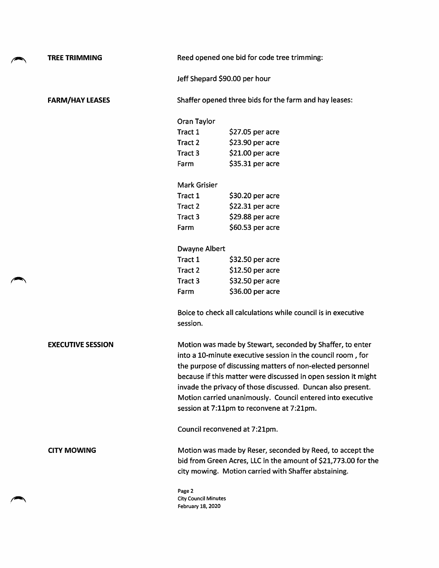| <b>TREE TRIMMING</b>     |                                                                                                                                                                                                                                                                                                                                                                                                                                    | Reed opened one bid for code tree trimming:                                                                                                                                         |  |
|--------------------------|------------------------------------------------------------------------------------------------------------------------------------------------------------------------------------------------------------------------------------------------------------------------------------------------------------------------------------------------------------------------------------------------------------------------------------|-------------------------------------------------------------------------------------------------------------------------------------------------------------------------------------|--|
|                          |                                                                                                                                                                                                                                                                                                                                                                                                                                    | Jeff Shepard \$90.00 per hour                                                                                                                                                       |  |
| <b>FARM/HAY LEASES</b>   |                                                                                                                                                                                                                                                                                                                                                                                                                                    | Shaffer opened three bids for the farm and hay leases:                                                                                                                              |  |
|                          | Oran Taylor                                                                                                                                                                                                                                                                                                                                                                                                                        |                                                                                                                                                                                     |  |
|                          | Tract 1                                                                                                                                                                                                                                                                                                                                                                                                                            | \$27.05 per acre                                                                                                                                                                    |  |
|                          | Tract 2                                                                                                                                                                                                                                                                                                                                                                                                                            | \$23.90 per acre                                                                                                                                                                    |  |
|                          | Tract 3                                                                                                                                                                                                                                                                                                                                                                                                                            | \$21.00 per acre                                                                                                                                                                    |  |
|                          | Farm                                                                                                                                                                                                                                                                                                                                                                                                                               | $$35.31$ per acre                                                                                                                                                                   |  |
|                          | <b>Mark Grisier</b>                                                                                                                                                                                                                                                                                                                                                                                                                |                                                                                                                                                                                     |  |
|                          | Tract 1                                                                                                                                                                                                                                                                                                                                                                                                                            | \$30.20 per acre                                                                                                                                                                    |  |
|                          | Tract 2                                                                                                                                                                                                                                                                                                                                                                                                                            | \$22.31 per acre                                                                                                                                                                    |  |
|                          | Tract 3                                                                                                                                                                                                                                                                                                                                                                                                                            | \$29.88 per acre                                                                                                                                                                    |  |
|                          | Farm                                                                                                                                                                                                                                                                                                                                                                                                                               | \$60.53 per acre                                                                                                                                                                    |  |
|                          | <b>Dwayne Albert</b>                                                                                                                                                                                                                                                                                                                                                                                                               |                                                                                                                                                                                     |  |
|                          | Tract 1                                                                                                                                                                                                                                                                                                                                                                                                                            | \$32.50 per acre                                                                                                                                                                    |  |
|                          | Tract 2                                                                                                                                                                                                                                                                                                                                                                                                                            | $$12.50$ per acre                                                                                                                                                                   |  |
|                          | Tract 3                                                                                                                                                                                                                                                                                                                                                                                                                            | \$32.50 per acre                                                                                                                                                                    |  |
|                          | Farm                                                                                                                                                                                                                                                                                                                                                                                                                               | \$36.00 per acre                                                                                                                                                                    |  |
|                          | session.                                                                                                                                                                                                                                                                                                                                                                                                                           | Boice to check all calculations while council is in executive                                                                                                                       |  |
| <b>EXECUTIVE SESSION</b> | Motion was made by Stewart, seconded by Shaffer, to enter<br>into a 10-minute executive session in the council room, for<br>the purpose of discussing matters of non-elected personnel<br>because if this matter were discussed in open session it might<br>invade the privacy of those discussed. Duncan also present.<br>Motion carried unanimously. Council entered into executive<br>session at 7:11pm to reconvene at 7:21pm. |                                                                                                                                                                                     |  |
|                          |                                                                                                                                                                                                                                                                                                                                                                                                                                    | Council reconvened at 7:21pm.                                                                                                                                                       |  |
| <b>CITY MOWING</b>       |                                                                                                                                                                                                                                                                                                                                                                                                                                    | Motion was made by Reser, seconded by Reed, to accept the<br>bid from Green Acres, LLC in the amount of \$21,773.00 for the<br>city mowing. Motion carried with Shaffer abstaining. |  |
|                          | Page 2<br><b>City Council Minutes</b><br>February 18, 2020                                                                                                                                                                                                                                                                                                                                                                         |                                                                                                                                                                                     |  |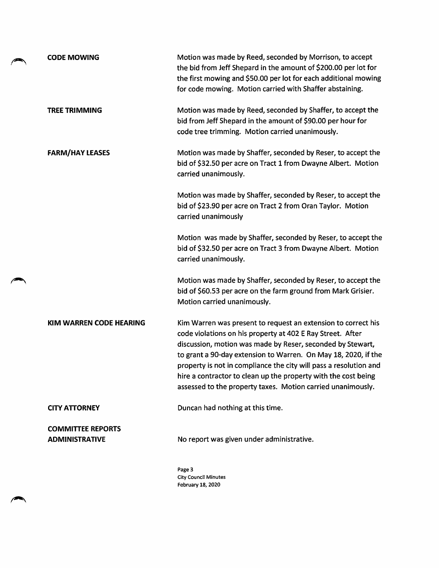| <b>CODE MOWING</b>                                | Motion was made by Reed, seconded by Morrison, to accept<br>the bid from Jeff Shepard in the amount of \$200.00 per lot for<br>the first mowing and \$50.00 per lot for each additional mowing<br>for code mowing. Motion carried with Shaffer abstaining.                                                                                                                                                                                                        |
|---------------------------------------------------|-------------------------------------------------------------------------------------------------------------------------------------------------------------------------------------------------------------------------------------------------------------------------------------------------------------------------------------------------------------------------------------------------------------------------------------------------------------------|
| <b>TREE TRIMMING</b>                              | Motion was made by Reed, seconded by Shaffer, to accept the<br>bid from Jeff Shepard in the amount of \$90.00 per hour for<br>code tree trimming. Motion carried unanimously.                                                                                                                                                                                                                                                                                     |
| <b>FARM/HAY LEASES</b>                            | Motion was made by Shaffer, seconded by Reser, to accept the<br>bid of \$32.50 per acre on Tract 1 from Dwayne Albert. Motion<br>carried unanimously.                                                                                                                                                                                                                                                                                                             |
|                                                   | Motion was made by Shaffer, seconded by Reser, to accept the<br>bid of \$23.90 per acre on Tract 2 from Oran Taylor. Motion<br>carried unanimously                                                                                                                                                                                                                                                                                                                |
|                                                   | Motion was made by Shaffer, seconded by Reser, to accept the<br>bid of \$32.50 per acre on Tract 3 from Dwayne Albert. Motion<br>carried unanimously.                                                                                                                                                                                                                                                                                                             |
|                                                   | Motion was made by Shaffer, seconded by Reser, to accept the<br>bid of \$60.53 per acre on the farm ground from Mark Grisier.<br>Motion carried unanimously.                                                                                                                                                                                                                                                                                                      |
| KIM WARREN CODE HEARING                           | Kim Warren was present to request an extension to correct his<br>code violations on his property at 402 E Ray Street. After<br>discussion, motion was made by Reser, seconded by Stewart,<br>to grant a 90-day extension to Warren. On May 18, 2020, if the<br>property is not in compliance the city will pass a resolution and<br>hire a contractor to clean up the property with the cost being<br>assessed to the property taxes. Motion carried unanimously. |
| <b>CITY ATTORNEY</b>                              | Duncan had nothing at this time.                                                                                                                                                                                                                                                                                                                                                                                                                                  |
| <b>COMMITTEE REPORTS</b><br><b>ADMINISTRATIVE</b> | No report was given under administrative.                                                                                                                                                                                                                                                                                                                                                                                                                         |
|                                                   | Page 3<br><b>City Council Minutes</b><br>February 18, 2020                                                                                                                                                                                                                                                                                                                                                                                                        |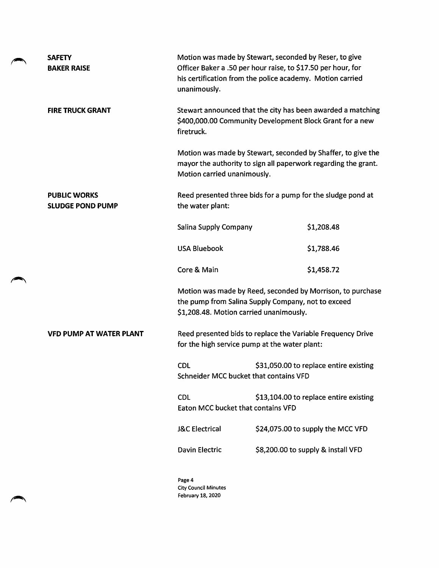| <b>SAFETY</b><br><b>BAKER RAISE</b>            | unanimously.                                     | Motion was made by Stewart, seconded by Reser, to give<br>Officer Baker a .50 per hour raise, to \$17.50 per hour, for<br>his certification from the police academy. Motion carried |  |
|------------------------------------------------|--------------------------------------------------|-------------------------------------------------------------------------------------------------------------------------------------------------------------------------------------|--|
| <b>FIRE TRUCK GRANT</b>                        | firetruck.                                       | Stewart announced that the city has been awarded a matching<br>\$400,000.00 Community Development Block Grant for a new                                                             |  |
|                                                | Motion carried unanimously.                      | Motion was made by Stewart, seconded by Shaffer, to give the<br>mayor the authority to sign all paperwork regarding the grant.                                                      |  |
| <b>PUBLIC WORKS</b><br><b>SLUDGE POND PUMP</b> | the water plant:                                 | Reed presented three bids for a pump for the sludge pond at                                                                                                                         |  |
|                                                | Salina Supply Company                            | \$1,208.48                                                                                                                                                                          |  |
|                                                | <b>USA Bluebook</b>                              | \$1,788.46                                                                                                                                                                          |  |
|                                                | Core & Main                                      | \$1,458.72                                                                                                                                                                          |  |
|                                                |                                                  | Motion was made by Reed, seconded by Morrison, to purchase<br>the pump from Salina Supply Company, not to exceed<br>\$1,208.48. Motion carried unanimously.                         |  |
| <b>VFD PUMP AT WATER PLANT</b>                 |                                                  | Reed presented bids to replace the Variable Frequency Drive<br>for the high service pump at the water plant:                                                                        |  |
|                                                | <b>CDL</b>                                       | \$31,050.00 to replace entire existing<br>Schneider MCC bucket that contains VFD                                                                                                    |  |
|                                                | <b>CDL</b><br>Eaton MCC bucket that contains VFD | \$13,104.00 to replace entire existing                                                                                                                                              |  |
|                                                | <b>J&amp;C</b> Electrical                        | \$24,075.00 to supply the MCC VFD                                                                                                                                                   |  |
|                                                | <b>Davin Electric</b>                            | \$8,200.00 to supply & install VFD                                                                                                                                                  |  |
|                                                | Page 4<br><b>City Council Minutes</b>            |                                                                                                                                                                                     |  |

February 18, 2020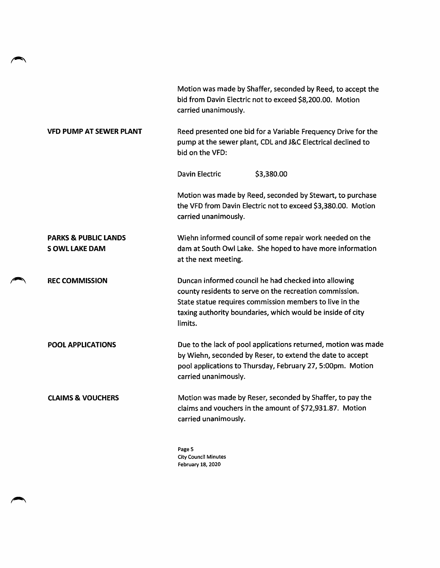|                                                         | Motion was made by Shaffer, seconded by Reed, to accept the<br>bid from Davin Electric not to exceed \$8,200.00. Motion<br>carried unanimously.                                                                                                     |  |
|---------------------------------------------------------|-----------------------------------------------------------------------------------------------------------------------------------------------------------------------------------------------------------------------------------------------------|--|
| <b>VFD PUMP AT SEWER PLANT</b>                          | Reed presented one bid for a Variable Frequency Drive for the<br>pump at the sewer plant, CDL and J&C Electrical declined to<br>bid on the VFD:                                                                                                     |  |
|                                                         | <b>Davin Electric</b><br>\$3,380.00                                                                                                                                                                                                                 |  |
|                                                         | Motion was made by Reed, seconded by Stewart, to purchase<br>the VFD from Davin Electric not to exceed \$3,380.00. Motion<br>carried unanimously.                                                                                                   |  |
| <b>PARKS &amp; PUBLIC LANDS</b><br><b>SOWL LAKE DAM</b> | Wiehn informed council of some repair work needed on the<br>dam at South Owl Lake. She hoped to have more information<br>at the next meeting.                                                                                                       |  |
| <b>REC COMMISSION</b>                                   | Duncan informed council he had checked into allowing<br>county residents to serve on the recreation commission.<br>State statue requires commission members to live in the<br>taxing authority boundaries, which would be inside of city<br>limits. |  |
| <b>POOL APPLICATIONS</b>                                | Due to the lack of pool applications returned, motion was made<br>by Wiehn, seconded by Reser, to extend the date to accept<br>pool applications to Thursday, February 27, 5:00pm. Motion<br>carried unanimously.                                   |  |
| <b>CLAIMS &amp; VOUCHERS</b>                            | Motion was made by Reser, seconded by Shaffer, to pay the<br>claims and vouchers in the amount of \$72,931.87. Motion<br>carried unanimously.                                                                                                       |  |
|                                                         | Page 5                                                                                                                                                                                                                                              |  |

Page 5 City Council Minutes February 18, 2020